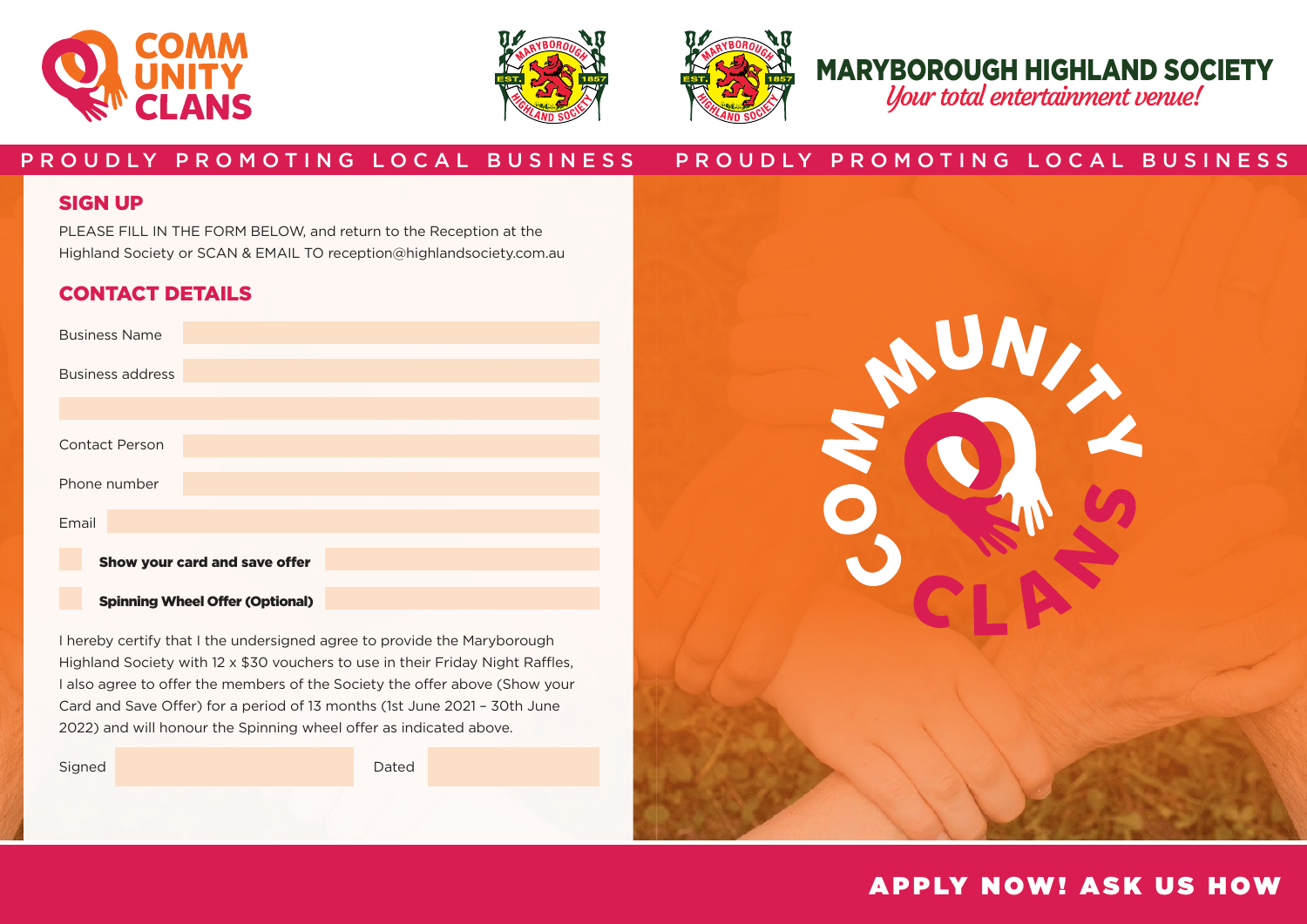





# MARYBOROUGH HIGHLAND SOCIETY

Your total entertainment venue!

### P R O U D L Y P R O M O T I N G LO C A L B U S I N E S S P R O U D L Y P R O M O T I N G LO C A L B U S I N E S S

#### SIGN UP

PLEASE FILL IN THE FORM BELOW, and return to the Reception at the Highland Society or SCAN & EMAIL TO reception@highlandsociety.com.au

### CONTACT DETAILS

| <b>Business Name</b>                   |  |
|----------------------------------------|--|
| <b>Business address</b>                |  |
|                                        |  |
| <b>Contact Person</b>                  |  |
| Phone number                           |  |
| Email                                  |  |
| Show your card and save offer          |  |
| <b>Spinning Wheel Offer (Optional)</b> |  |

I hereby certify that I the undersigned agree to provide the Maryborough Highland Society with 12 x \$30 vouchers to use in their Friday Night Raffles, I also agree to offer the members of the Society the offer above (Show your Card and Save Offer) for a period of 13 months (1st June 2021 – 30th June 2022) and will honour the Spinning wheel offer as indicated above.

Signed Dated Dated Dated Burn and Dated Dated Dated Dated Dated Dated Dated Dated Dated Dated Dated Dated Dated



## **APPLY NOW! ASK US HOW**